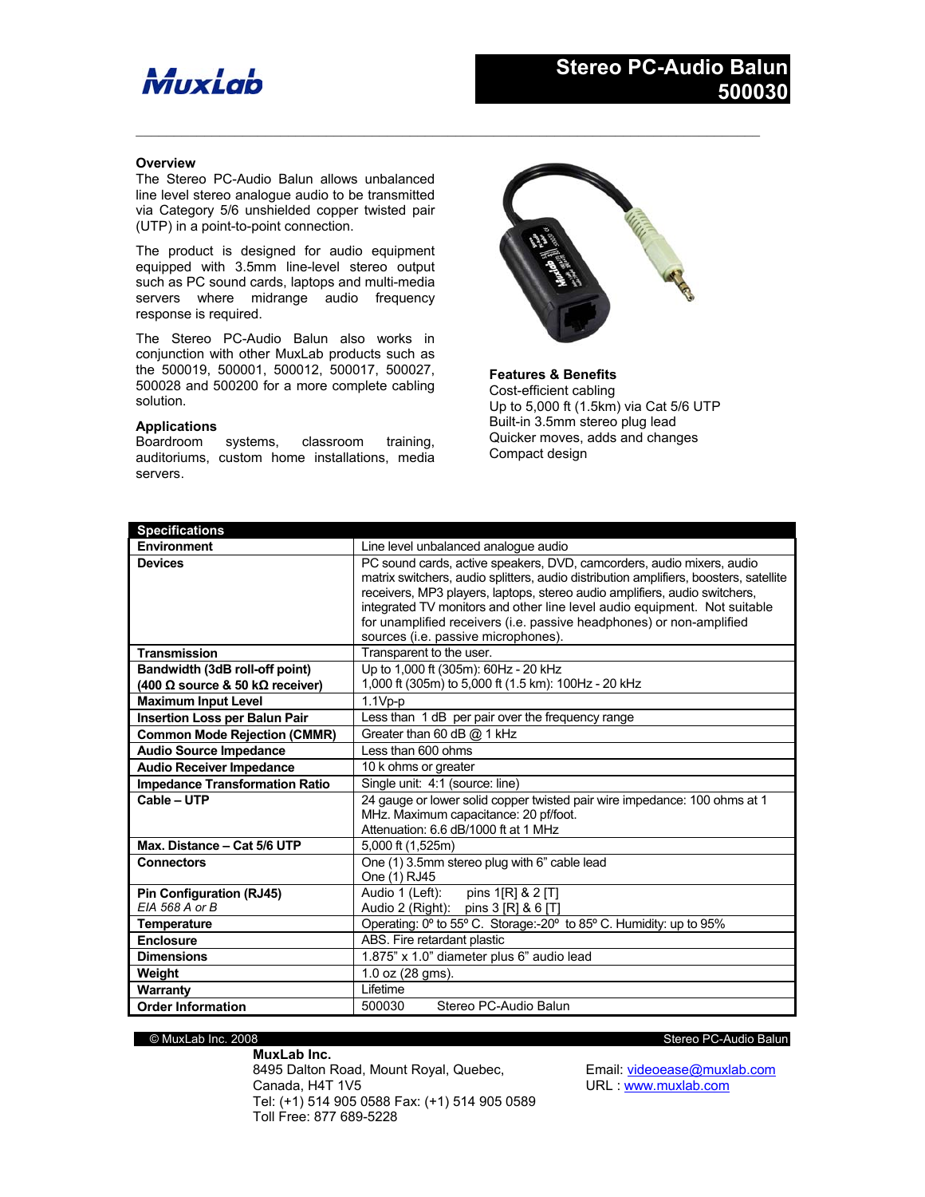# MuxLab

## **Overview**

The Stereo PC-Audio Balun allows unbalanced line level stereo analogue audio to be transmitted via Category 5/6 unshielded copper twisted pair (UTP) in a point-to-point connection.

The product is designed for audio equipment equipped with 3.5mm line-level stereo output such as PC sound cards, laptops and multi-media servers where midrange audio frequency response is required.

The Stereo PC-Audio Balun also works in conjunction with other MuxLab products such as the 500019, 500001, 500012, 500017, 500027, 500028 and 500200 for a more complete cabling solution.

## **Applications**

Boardroom systems, classroom training, auditoriums, custom home installations, media servers.



**Features & Benefits** Cost-efficient cabling Up to 5,000 ft (1.5km) via Cat 5/6 UTP Built-in 3.5mm stereo plug lead Quicker moves, adds and changes Compact design

| <b>Specifications</b>                 |                                                                                       |
|---------------------------------------|---------------------------------------------------------------------------------------|
| <b>Environment</b>                    | Line level unbalanced analogue audio                                                  |
| <b>Devices</b>                        | PC sound cards, active speakers, DVD, camcorders, audio mixers, audio                 |
|                                       | matrix switchers, audio splitters, audio distribution amplifiers, boosters, satellite |
|                                       | receivers, MP3 players, laptops, stereo audio amplifiers, audio switchers,            |
|                                       | integrated TV monitors and other line level audio equipment. Not suitable             |
|                                       | for unamplified receivers (i.e. passive headphones) or non-amplified                  |
|                                       | sources (i.e. passive microphones).                                                   |
| <b>Transmission</b>                   | Transparent to the user.                                                              |
| Bandwidth (3dB roll-off point)        | Up to 1.000 ft (305m): 60Hz - 20 kHz                                                  |
| (400 Ω source & 50 kΩ receiver)       | 1,000 ft (305m) to 5,000 ft (1.5 km): 100Hz - 20 kHz                                  |
| <b>Maximum Input Level</b>            | $1.1Vp-p$                                                                             |
| <b>Insertion Loss per Balun Pair</b>  | Less than 1 dB per pair over the frequency range                                      |
| <b>Common Mode Rejection (CMMR)</b>   | Greater than 60 dB @ 1 kHz                                                            |
| <b>Audio Source Impedance</b>         | Less than 600 ohms                                                                    |
| <b>Audio Receiver Impedance</b>       | 10 k ohms or greater                                                                  |
| <b>Impedance Transformation Ratio</b> | Single unit: 4:1 (source: line)                                                       |
| Cable - UTP                           | 24 gauge or lower solid copper twisted pair wire impedance: 100 ohms at 1             |
|                                       | MHz. Maximum capacitance: 20 pf/foot.                                                 |
|                                       | Attenuation: 6.6 dB/1000 ft at 1 MHz                                                  |
| Max. Distance - Cat 5/6 UTP           | 5,000 ft (1,525m)                                                                     |
| <b>Connectors</b>                     | One (1) 3.5mm stereo plug with 6" cable lead                                          |
|                                       | One (1) RJ45                                                                          |
| Pin Configuration (RJ45)              | Audio 1 (Left):    pins 1[R] & 2 [T]                                                  |
| EIA 568 A or B                        | Audio 2 (Right): pins 3 [R] & 6 [T]                                                   |
| Temperature                           | Operating: 0° to 55° C. Storage:-20° to 85° C. Humidity: up to 95%                    |
| <b>Enclosure</b>                      | ABS. Fire retardant plastic                                                           |
| <b>Dimensions</b>                     | 1.875" x 1.0" diameter plus 6" audio lead                                             |
| Weight                                | $1.0$ oz $(28$ qms).                                                                  |
| <b>Warranty</b>                       | I ifetime                                                                             |
| <b>Order Information</b>              | Stereo PC-Audio Balun<br>500030                                                       |

 $\mathcal{L}_\mathcal{L} = \{ \mathcal{L}_\mathcal{L} = \{ \mathcal{L}_\mathcal{L} = \{ \mathcal{L}_\mathcal{L} = \{ \mathcal{L}_\mathcal{L} = \{ \mathcal{L}_\mathcal{L} = \{ \mathcal{L}_\mathcal{L} = \{ \mathcal{L}_\mathcal{L} = \{ \mathcal{L}_\mathcal{L} = \{ \mathcal{L}_\mathcal{L} = \{ \mathcal{L}_\mathcal{L} = \{ \mathcal{L}_\mathcal{L} = \{ \mathcal{L}_\mathcal{L} = \{ \mathcal{L}_\mathcal{L} = \{ \mathcal{L}_\mathcal{$ 

**MuxLab Inc.** 8495 Dalton Road, Mount Royal, Quebec, Canada, H4T 1V5 Tel: (+1) 514 905 0588 Fax: (+1) 514 905 0589 Toll Free: 877 689-5228

© MuxLab Inc. 2008 Stereo PC-Audio Balun

Email: videoease@muxlab.com URL : www.muxlab.com